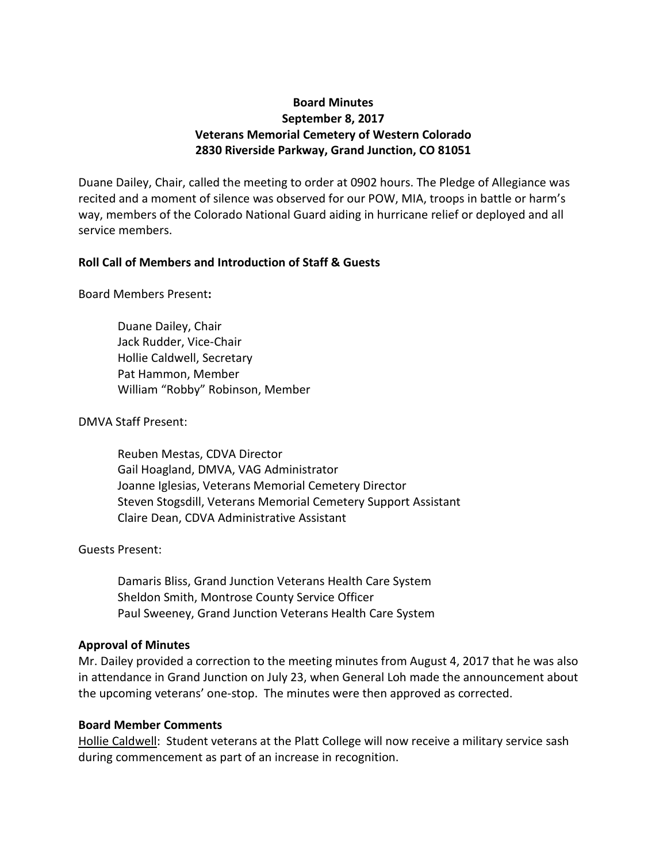# **Board Minutes September 8, 2017 Veterans Memorial Cemetery of Western Colorado 2830 Riverside Parkway, Grand Junction, CO 81051**

Duane Dailey, Chair, called the meeting to order at 0902 hours. The Pledge of Allegiance was recited and a moment of silence was observed for our POW, MIA, troops in battle or harm's way, members of the Colorado National Guard aiding in hurricane relief or deployed and all service members.

## **Roll Call of Members and Introduction of Staff & Guests**

Board Members Present**:**

Duane Dailey, Chair Jack Rudder, Vice-Chair Hollie Caldwell, Secretary Pat Hammon, Member William "Robby" Robinson, Member

## DMVA Staff Present:

Reuben Mestas, CDVA Director Gail Hoagland, DMVA, VAG Administrator Joanne Iglesias, Veterans Memorial Cemetery Director Steven Stogsdill, Veterans Memorial Cemetery Support Assistant Claire Dean, CDVA Administrative Assistant

## Guests Present:

Damaris Bliss, Grand Junction Veterans Health Care System Sheldon Smith, Montrose County Service Officer Paul Sweeney, Grand Junction Veterans Health Care System

## **Approval of Minutes**

Mr. Dailey provided a correction to the meeting minutes from August 4, 2017 that he was also in attendance in Grand Junction on July 23, when General Loh made the announcement about the upcoming veterans' one-stop. The minutes were then approved as corrected.

## **Board Member Comments**

Hollie Caldwell: Student veterans at the Platt College will now receive a military service sash during commencement as part of an increase in recognition.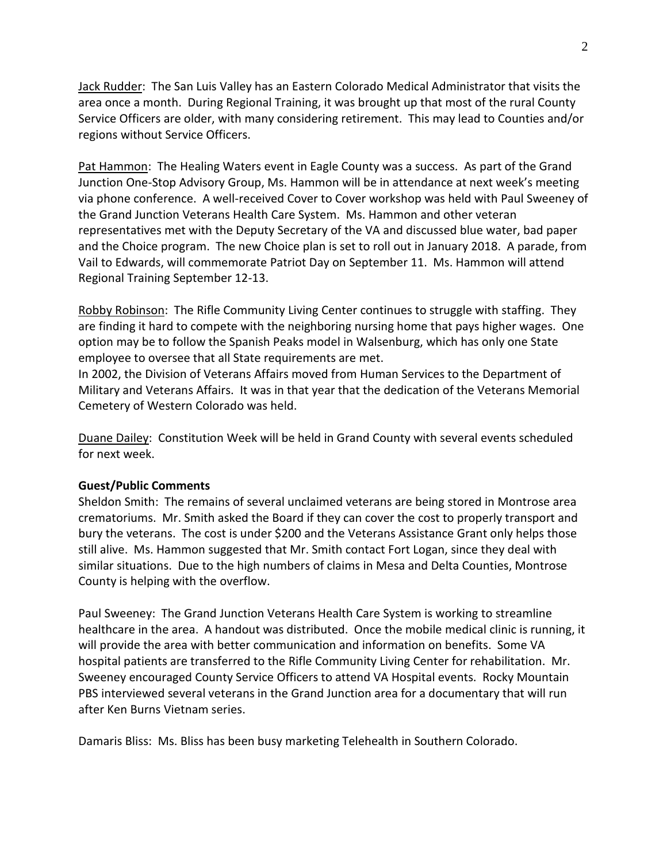Jack Rudder: The San Luis Valley has an Eastern Colorado Medical Administrator that visits the area once a month. During Regional Training, it was brought up that most of the rural County Service Officers are older, with many considering retirement. This may lead to Counties and/or regions without Service Officers.

Pat Hammon: The Healing Waters event in Eagle County was a success. As part of the Grand Junction One-Stop Advisory Group, Ms. Hammon will be in attendance at next week's meeting via phone conference. A well-received Cover to Cover workshop was held with Paul Sweeney of the Grand Junction Veterans Health Care System. Ms. Hammon and other veteran representatives met with the Deputy Secretary of the VA and discussed blue water, bad paper and the Choice program. The new Choice plan is set to roll out in January 2018. A parade, from Vail to Edwards, will commemorate Patriot Day on September 11. Ms. Hammon will attend Regional Training September 12-13.

Robby Robinson: The Rifle Community Living Center continues to struggle with staffing. They are finding it hard to compete with the neighboring nursing home that pays higher wages. One option may be to follow the Spanish Peaks model in Walsenburg, which has only one State employee to oversee that all State requirements are met.

In 2002, the Division of Veterans Affairs moved from Human Services to the Department of Military and Veterans Affairs. It was in that year that the dedication of the Veterans Memorial Cemetery of Western Colorado was held.

Duane Dailey: Constitution Week will be held in Grand County with several events scheduled for next week.

#### **Guest/Public Comments**

Sheldon Smith: The remains of several unclaimed veterans are being stored in Montrose area crematoriums. Mr. Smith asked the Board if they can cover the cost to properly transport and bury the veterans. The cost is under \$200 and the Veterans Assistance Grant only helps those still alive. Ms. Hammon suggested that Mr. Smith contact Fort Logan, since they deal with similar situations. Due to the high numbers of claims in Mesa and Delta Counties, Montrose County is helping with the overflow.

Paul Sweeney: The Grand Junction Veterans Health Care System is working to streamline healthcare in the area. A handout was distributed. Once the mobile medical clinic is running, it will provide the area with better communication and information on benefits. Some VA hospital patients are transferred to the Rifle Community Living Center for rehabilitation. Mr. Sweeney encouraged County Service Officers to attend VA Hospital events. Rocky Mountain PBS interviewed several veterans in the Grand Junction area for a documentary that will run after Ken Burns Vietnam series.

Damaris Bliss: Ms. Bliss has been busy marketing Telehealth in Southern Colorado.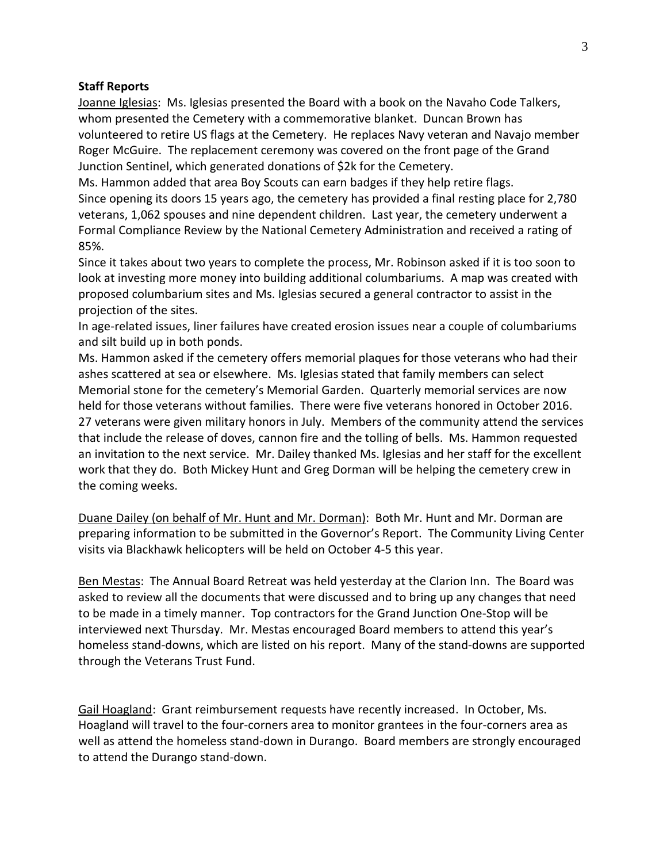#### **Staff Reports**

Joanne Iglesias: Ms. Iglesias presented the Board with a book on the Navaho Code Talkers, whom presented the Cemetery with a commemorative blanket. Duncan Brown has volunteered to retire US flags at the Cemetery. He replaces Navy veteran and Navajo member Roger McGuire. The replacement ceremony was covered on the front page of the Grand Junction Sentinel, which generated donations of \$2k for the Cemetery.

Ms. Hammon added that area Boy Scouts can earn badges if they help retire flags. Since opening its doors 15 years ago, the cemetery has provided a final resting place for 2,780 veterans, 1,062 spouses and nine dependent children. Last year, the cemetery underwent a Formal Compliance Review by the National Cemetery Administration and received a rating of 85%.

Since it takes about two years to complete the process, Mr. Robinson asked if it is too soon to look at investing more money into building additional columbariums. A map was created with proposed columbarium sites and Ms. Iglesias secured a general contractor to assist in the projection of the sites.

In age-related issues, liner failures have created erosion issues near a couple of columbariums and silt build up in both ponds.

Ms. Hammon asked if the cemetery offers memorial plaques for those veterans who had their ashes scattered at sea or elsewhere. Ms. Iglesias stated that family members can select Memorial stone for the cemetery's Memorial Garden. Quarterly memorial services are now held for those veterans without families. There were five veterans honored in October 2016. 27 veterans were given military honors in July. Members of the community attend the services that include the release of doves, cannon fire and the tolling of bells. Ms. Hammon requested an invitation to the next service. Mr. Dailey thanked Ms. Iglesias and her staff for the excellent work that they do. Both Mickey Hunt and Greg Dorman will be helping the cemetery crew in the coming weeks.

Duane Dailey (on behalf of Mr. Hunt and Mr. Dorman): Both Mr. Hunt and Mr. Dorman are preparing information to be submitted in the Governor's Report. The Community Living Center visits via Blackhawk helicopters will be held on October 4-5 this year.

Ben Mestas: The Annual Board Retreat was held yesterday at the Clarion Inn. The Board was asked to review all the documents that were discussed and to bring up any changes that need to be made in a timely manner. Top contractors for the Grand Junction One-Stop will be interviewed next Thursday. Mr. Mestas encouraged Board members to attend this year's homeless stand-downs, which are listed on his report. Many of the stand-downs are supported through the Veterans Trust Fund.

Gail Hoagland: Grant reimbursement requests have recently increased. In October, Ms. Hoagland will travel to the four-corners area to monitor grantees in the four-corners area as well as attend the homeless stand-down in Durango. Board members are strongly encouraged to attend the Durango stand-down.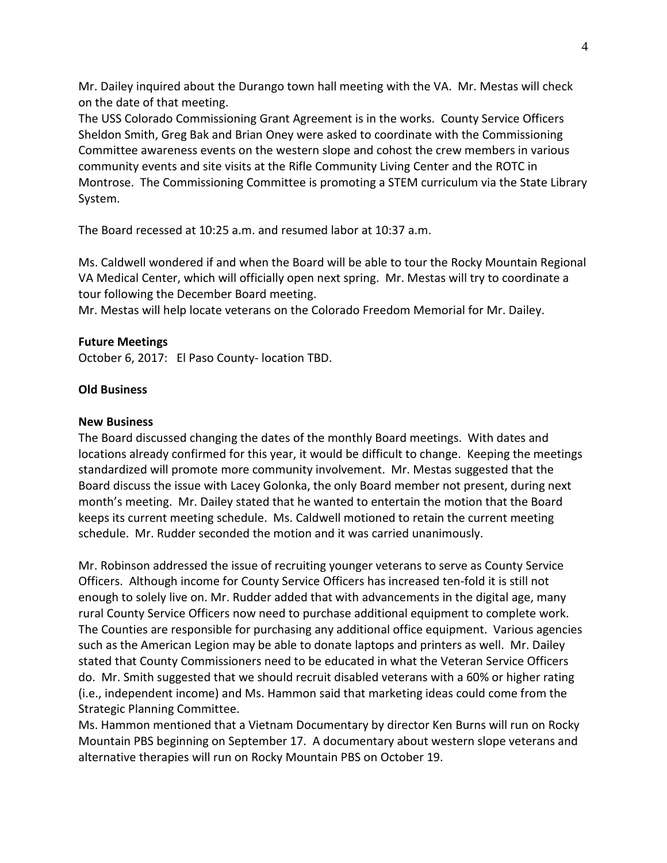Mr. Dailey inquired about the Durango town hall meeting with the VA. Mr. Mestas will check on the date of that meeting.

The USS Colorado Commissioning Grant Agreement is in the works. County Service Officers Sheldon Smith, Greg Bak and Brian Oney were asked to coordinate with the Commissioning Committee awareness events on the western slope and cohost the crew members in various community events and site visits at the Rifle Community Living Center and the ROTC in Montrose. The Commissioning Committee is promoting a STEM curriculum via the State Library System.

The Board recessed at 10:25 a.m. and resumed labor at 10:37 a.m.

Ms. Caldwell wondered if and when the Board will be able to tour the Rocky Mountain Regional VA Medical Center, which will officially open next spring. Mr. Mestas will try to coordinate a tour following the December Board meeting.

Mr. Mestas will help locate veterans on the Colorado Freedom Memorial for Mr. Dailey.

## **Future Meetings**

October 6, 2017: El Paso County- location TBD.

## **Old Business**

#### **New Business**

The Board discussed changing the dates of the monthly Board meetings. With dates and locations already confirmed for this year, it would be difficult to change. Keeping the meetings standardized will promote more community involvement. Mr. Mestas suggested that the Board discuss the issue with Lacey Golonka, the only Board member not present, during next month's meeting. Mr. Dailey stated that he wanted to entertain the motion that the Board keeps its current meeting schedule. Ms. Caldwell motioned to retain the current meeting schedule. Mr. Rudder seconded the motion and it was carried unanimously.

Mr. Robinson addressed the issue of recruiting younger veterans to serve as County Service Officers. Although income for County Service Officers has increased ten-fold it is still not enough to solely live on. Mr. Rudder added that with advancements in the digital age, many rural County Service Officers now need to purchase additional equipment to complete work. The Counties are responsible for purchasing any additional office equipment. Various agencies such as the American Legion may be able to donate laptops and printers as well. Mr. Dailey stated that County Commissioners need to be educated in what the Veteran Service Officers do. Mr. Smith suggested that we should recruit disabled veterans with a 60% or higher rating (i.e., independent income) and Ms. Hammon said that marketing ideas could come from the Strategic Planning Committee.

Ms. Hammon mentioned that a Vietnam Documentary by director Ken Burns will run on Rocky Mountain PBS beginning on September 17. A documentary about western slope veterans and alternative therapies will run on Rocky Mountain PBS on October 19.